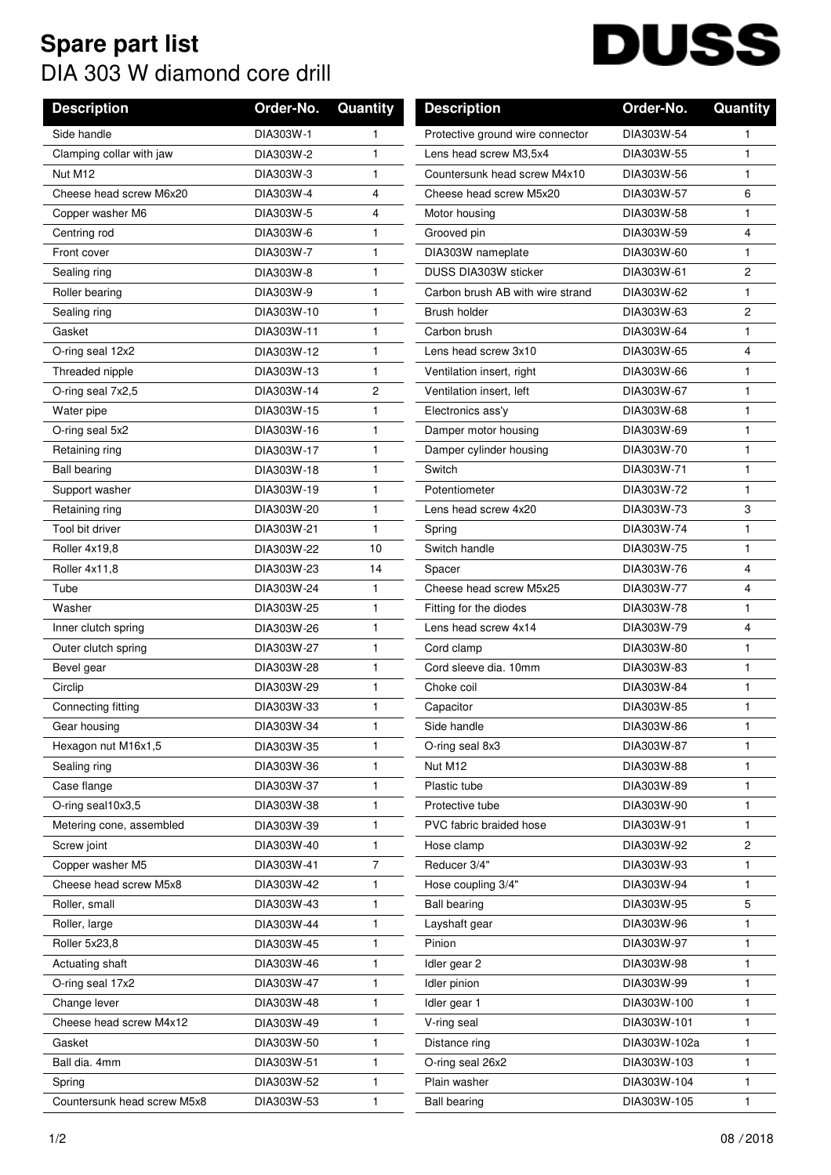## **Spare part list** DIA 303 W diamond core drill

## **DUSS**

| <b>Description</b>          | Order-No.  | Quantity              | <b>Description</b>               | Order-No.    | Quantity       |
|-----------------------------|------------|-----------------------|----------------------------------|--------------|----------------|
| Side handle                 | DIA303W-1  | 1                     | Protective ground wire connector | DIA303W-54   | 1              |
| Clamping collar with jaw    | DIA303W-2  | 1                     | Lens head screw M3,5x4           | DIA303W-55   | $\mathbf{1}$   |
| Nut M12                     | DIA303W-3  | 1                     | Countersunk head screw M4x10     | DIA303W-56   | $\mathbf{1}$   |
| Cheese head screw M6x20     | DIA303W-4  | 4                     | Cheese head screw M5x20          | DIA303W-57   | 6              |
| Copper washer M6            | DIA303W-5  | 4                     | Motor housing                    | DIA303W-58   | 1              |
| Centring rod                | DIA303W-6  | 1                     | Grooved pin                      | DIA303W-59   | 4              |
| Front cover                 | DIA303W-7  | 1                     | DIA303W nameplate                | DIA303W-60   | $\mathbf{1}$   |
| Sealing ring                | DIA303W-8  | 1                     | DUSS DIA303W sticker             | DIA303W-61   | $\overline{c}$ |
| Roller bearing              | DIA303W-9  | 1                     | Carbon brush AB with wire strand | DIA303W-62   | $\mathbf{1}$   |
| Sealing ring                | DIA303W-10 | $\mathbf{1}$          | Brush holder                     | DIA303W-63   | $\overline{c}$ |
| Gasket                      | DIA303W-11 | 1                     | Carbon brush                     | DIA303W-64   | $\mathbf{1}$   |
| O-ring seal 12x2            | DIA303W-12 | 1                     | Lens head screw 3x10             | DIA303W-65   | $\overline{4}$ |
| Threaded nipple             | DIA303W-13 | 1                     | Ventilation insert, right        | DIA303W-66   | $\mathbf{1}$   |
| O-ring seal 7x2,5           | DIA303W-14 | $\mathbf{2}^{\prime}$ | Ventilation insert, left         | DIA303W-67   | $\mathbf{1}$   |
| Water pipe                  | DIA303W-15 | 1                     | Electronics ass'y                | DIA303W-68   | $\mathbf{1}$   |
| O-ring seal 5x2             | DIA303W-16 | 1                     | Damper motor housing             | DIA303W-69   | 1              |
| Retaining ring              | DIA303W-17 | $\mathbf{1}$          | Damper cylinder housing          | DIA303W-70   | $\mathbf{1}$   |
| <b>Ball bearing</b>         | DIA303W-18 | 1                     | Switch                           | DIA303W-71   | 1              |
| Support washer              | DIA303W-19 | 1                     | Potentiometer                    | DIA303W-72   | $\mathbf{1}$   |
| Retaining ring              | DIA303W-20 | 1                     | Lens head screw 4x20             | DIA303W-73   | 3              |
| Tool bit driver             | DIA303W-21 | 1                     | Spring                           | DIA303W-74   | $\mathbf{1}$   |
| Roller 4x19,8               | DIA303W-22 | 10                    | Switch handle                    | DIA303W-75   | $\mathbf{1}$   |
| Roller 4x11,8               | DIA303W-23 | 14                    | Spacer                           | DIA303W-76   | 4              |
| Tube                        | DIA303W-24 | 1                     | Cheese head screw M5x25          | DIA303W-77   | 4              |
| Washer                      | DIA303W-25 | 1                     | Fitting for the diodes           | DIA303W-78   | $\mathbf{1}$   |
| Inner clutch spring         | DIA303W-26 | 1                     | Lens head screw 4x14             | DIA303W-79   | $\overline{4}$ |
| Outer clutch spring         | DIA303W-27 | 1                     | Cord clamp                       | DIA303W-80   | 1              |
| Bevel gear                  | DIA303W-28 | 1                     | Cord sleeve dia. 10mm            | DIA303W-83   | $\mathbf{1}$   |
| Circlip                     | DIA303W-29 | 1                     | Choke coil                       | DIA303W-84   | 1              |
| Connecting fitting          | DIA303W-33 | 1                     | Capacitor                        | DIA303W-85   | 1              |
| Gear housing                | DIA303W-34 | 1                     | Side handle                      | DIA303W-86   | 1.             |
| Hexagon nut M16x1,5         | DIA303W-35 | 1                     | O-ring seal 8x3                  | DIA303W-87   | 1              |
| Sealing ring                | DIA303W-36 | 1.                    | Nut M12                          | DIA303W-88   | 1              |
| Case flange                 | DIA303W-37 | 1                     | Plastic tube                     | DIA303W-89   | 1              |
| O-ring seal10x3,5           | DIA303W-38 | 1                     | Protective tube                  | DIA303W-90   | 1              |
| Metering cone, assembled    | DIA303W-39 | 1                     | PVC fabric braided hose          | DIA303W-91   | 1              |
| Screw joint                 | DIA303W-40 | 1                     | Hose clamp                       | DIA303W-92   | $\mathbf{2}$   |
| Copper washer M5            | DIA303W-41 | 7                     | Reducer 3/4"                     | DIA303W-93   | 1              |
| Cheese head screw M5x8      | DIA303W-42 | 1.                    | Hose coupling 3/4"               | DIA303W-94   | 1              |
| Roller, small               | DIA303W-43 | 1                     | <b>Ball bearing</b>              | DIA303W-95   | 5              |
| Roller, large               | DIA303W-44 | 1                     | Layshaft gear                    | DIA303W-96   | 1              |
| Roller 5x23,8               | DIA303W-45 | 1                     | Pinion                           | DIA303W-97   | $\mathbf{1}$   |
| Actuating shaft             | DIA303W-46 | 1                     | Idler gear 2                     | DIA303W-98   | 1              |
| O-ring seal 17x2            | DIA303W-47 | 1.                    | Idler pinion                     | DIA303W-99   | 1.             |
| Change lever                | DIA303W-48 | 1                     | Idler gear 1                     | DIA303W-100  | $\mathbf{1}$   |
| Cheese head screw M4x12     | DIA303W-49 | 1                     | V-ring seal                      | DIA303W-101  | 1              |
| Gasket                      | DIA303W-50 | 1                     | Distance ring                    | DIA303W-102a | 1              |
| Ball dia. 4mm               | DIA303W-51 | 1                     | O-ring seal 26x2                 | DIA303W-103  | $\mathbf{1}$   |
| Spring                      | DIA303W-52 | 1                     | Plain washer                     | DIA303W-104  | 1              |
| Countersunk head screw M5x8 | DIA303W-53 | 1                     | <b>Ball bearing</b>              | DIA303W-105  | 1              |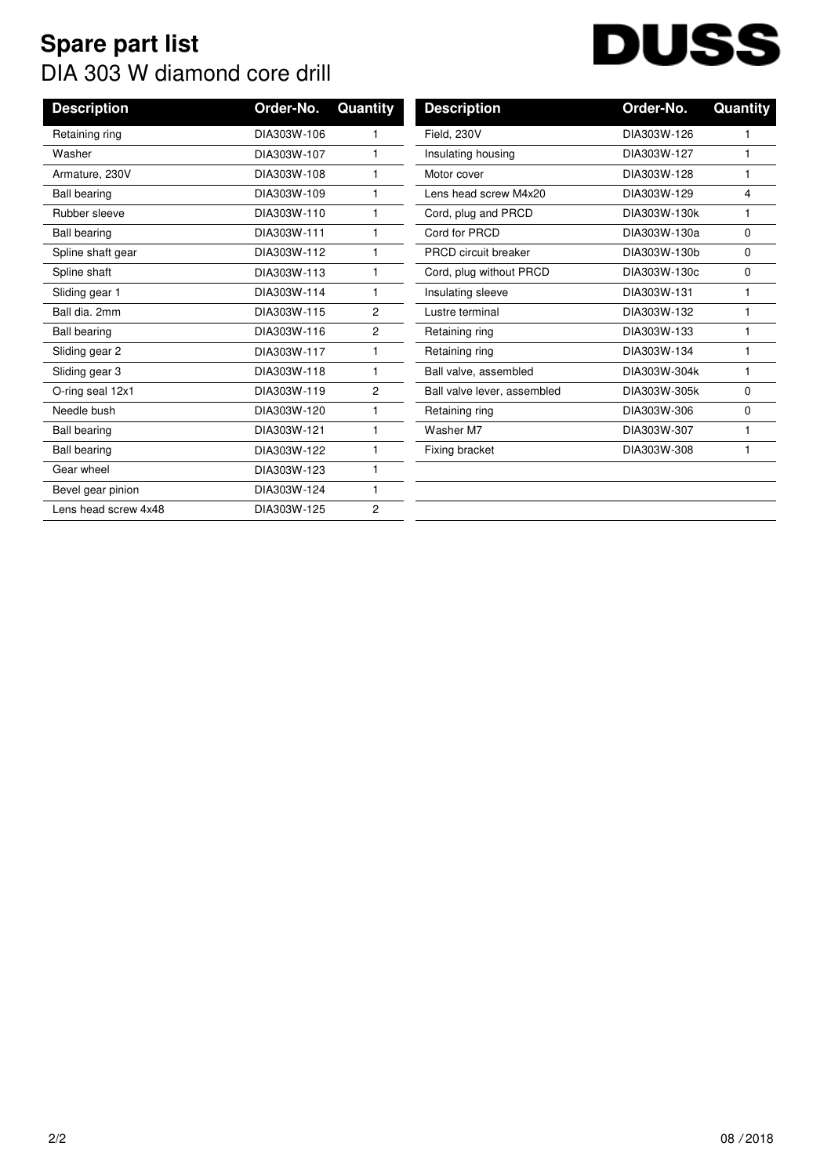## **Spare part list** DIA 303 W diamond core drill

## **DUSS**

| <b>Description</b>   | Order-No.   | Quantity       | <b>Description</b>          | Order-No.    | Quantity     |
|----------------------|-------------|----------------|-----------------------------|--------------|--------------|
|                      |             |                |                             |              |              |
| Retaining ring       | DIA303W-106 |                | Field, 230V                 | DIA303W-126  |              |
| Washer               | DIA303W-107 |                | Insulating housing          | DIA303W-127  | $\mathbf{1}$ |
| Armature, 230V       | DIA303W-108 |                | Motor cover                 | DIA303W-128  | 1            |
| <b>Ball bearing</b>  | DIA303W-109 |                | Lens head screw M4x20       | DIA303W-129  | 4            |
| Rubber sleeve        | DIA303W-110 |                | Cord, plug and PRCD         | DIA303W-130k | 1            |
| <b>Ball bearing</b>  | DIA303W-111 |                | Cord for PRCD               | DIA303W-130a | 0            |
| Spline shaft gear    | DIA303W-112 |                | <b>PRCD</b> circuit breaker | DIA303W-130b | 0            |
| Spline shaft         | DIA303W-113 |                | Cord, plug without PRCD     | DIA303W-130c | 0            |
| Sliding gear 1       | DIA303W-114 |                | Insulating sleeve           | DIA303W-131  | 1            |
| Ball dia, 2mm        | DIA303W-115 | $\overline{2}$ | Lustre terminal             | DIA303W-132  | 1            |
| <b>Ball bearing</b>  | DIA303W-116 | 2              | Retaining ring              | DIA303W-133  | 1            |
| Sliding gear 2       | DIA303W-117 |                | Retaining ring              | DIA303W-134  | 1            |
| Sliding gear 3       | DIA303W-118 |                | Ball valve, assembled       | DIA303W-304k | 1            |
| O-ring seal 12x1     | DIA303W-119 | $\mathbf{2}$   | Ball valve lever, assembled | DIA303W-305k | 0            |
| Needle bush          | DIA303W-120 |                | Retaining ring              | DIA303W-306  | 0            |
| <b>Ball bearing</b>  | DIA303W-121 |                | Washer M7                   | DIA303W-307  | 1            |
| <b>Ball bearing</b>  | DIA303W-122 |                | Fixing bracket              | DIA303W-308  |              |
| Gear wheel           | DIA303W-123 |                |                             |              |              |
| Bevel gear pinion    | DIA303W-124 |                |                             |              |              |
| Lens head screw 4x48 | DIA303W-125 | $\mathbf{2}$   |                             |              |              |